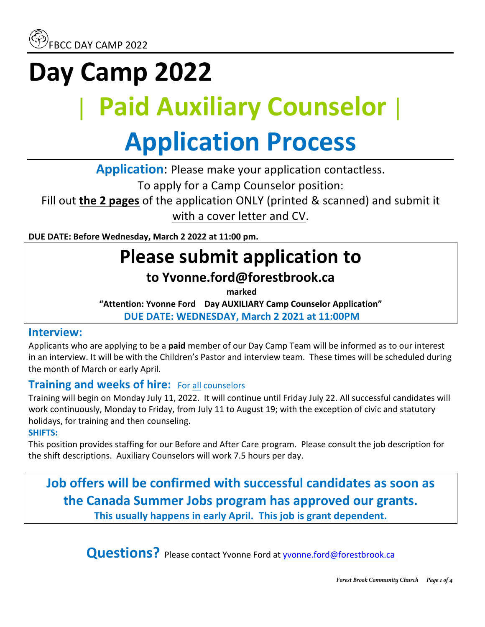# **Day Camp 2022** | **Paid Auxiliary Counselor**| **Application Process**

**Application:** Please make your application contactless.

To apply for a Camp Counselor position:

Fill out **the 2 pages** of the application ONLY (printed & scanned) and submit it with a cover letter and CV.

**DUE DATE: Before Wednesday, March 2 2022 at 11:00 pm.** 

## **Please submit application to**

### **to Yvonne.ford@forestbrook.ca**

**marked** 

"Attention: Yvonne Ford Day AUXILIARY Camp Counselor Application" **DUE DATE: WEDNESDAY, March 2 2021 at 11:00PM**

#### **Interview:**

Applicants who are applying to be a **paid** member of our Day Camp Team will be informed as to our interest in an interview. It will be with the Children's Pastor and interview team. These times will be scheduled during the month of March or early April.

### **Training and weeks of hire:** For all counselors

Training will begin on Monday July 11, 2022. It will continue until Friday July 22. All successful candidates will work continuously, Monday to Friday, from July 11 to August 19; with the exception of civic and statutory holidays, for training and then counseling.

#### **SHIFTS:**

This position provides staffing for our Before and After Care program. Please consult the job description for the shift descriptions. Auxiliary Counselors will work 7.5 hours per day.

**Job offers will be confirmed with successful candidates as soon as the Canada Summer Jobs program has approved our grants.** This usually happens in early April. This job is grant dependent.

**Questions?** Please contact Yvonne Ford at yvonne.ford@forestbrook.ca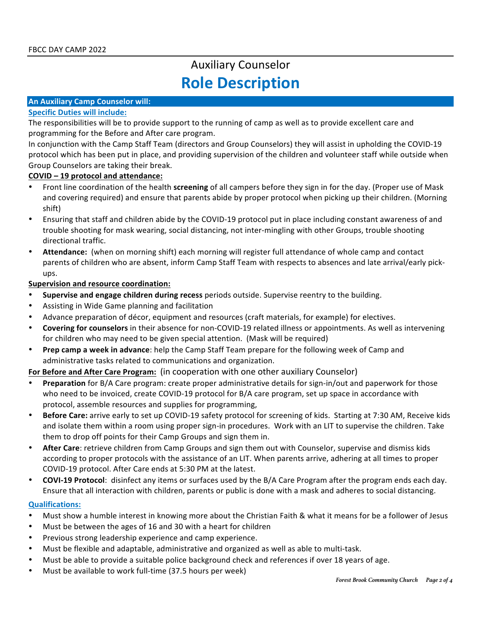## Auxiliary Counselor **Role Description**

#### **An Auxiliary Camp Counselor will:**

#### **Specific Duties will include:**

The responsibilities will be to provide support to the running of camp as well as to provide excellent care and programming for the Before and After care program.

In conjunction with the Camp Staff Team (directors and Group Counselors) they will assist in upholding the COVID-19 protocol which has been put in place, and providing supervision of the children and volunteer staff while outside when Group Counselors are taking their break.

#### **COVID** – 19 protocol and attendance:

- Front line coordination of the health **screening** of all campers before they sign in for the day. (Proper use of Mask and covering required) and ensure that parents abide by proper protocol when picking up their children. (Morning shift)
- Ensuring that staff and children abide by the COVID-19 protocol put in place including constant awareness of and trouble shooting for mask wearing, social distancing, not inter-mingling with other Groups, trouble shooting directional traffic.
- Attendance: (when on morning shift) each morning will register full attendance of whole camp and contact parents of children who are absent, inform Camp Staff Team with respects to absences and late arrival/early pickups.

#### **Supervision and resource coordination:**

- **Supervise and engage children during recess** periods outside. Supervise reentry to the building.
- Assisting in Wide Game planning and facilitation
- Advance preparation of décor, equipment and resources (craft materials, for example) for electives.
- **Covering for counselors** in their absence for non-COVID-19 related illness or appointments. As well as intervening for children who may need to be given special attention. (Mask will be required)
- **Prep camp a week in advance:** help the Camp Staff Team prepare for the following week of Camp and administrative tasks related to communications and organization.

For Before and After Care Program: (in cooperation with one other auxiliary Counselor)

- Preparation for B/A Care program: create proper administrative details for sign-in/out and paperwork for those who need to be invoiced, create COVID-19 protocol for B/A care program, set up space in accordance with protocol, assemble resources and supplies for programming,
- **Before Care:** arrive early to set up COVID-19 safety protocol for screening of kids. Starting at 7:30 AM, Receive kids and isolate them within a room using proper sign-in procedures. Work with an LIT to supervise the children. Take them to drop off points for their Camp Groups and sign them in.
- After Care: retrieve children from Camp Groups and sign them out with Counselor, supervise and dismiss kids according to proper protocols with the assistance of an LIT. When parents arrive, adhering at all times to proper COVID-19 protocol. After Care ends at 5:30 PM at the latest.
- **COVI-19 Protocol**: disinfect any items or surfaces used by the B/A Care Program after the program ends each day. Ensure that all interaction with children, parents or public is done with a mask and adheres to social distancing.

#### **Qualifications:**

- Must show a humble interest in knowing more about the Christian Faith & what it means for be a follower of Jesus
- Must be between the ages of 16 and 30 with a heart for children
- Previous strong leadership experience and camp experience.
- Must be flexible and adaptable, administrative and organized as well as able to multi-task.
- Must be able to provide a suitable police background check and references if over 18 years of age.
- Must be available to work full-time (37.5 hours per week)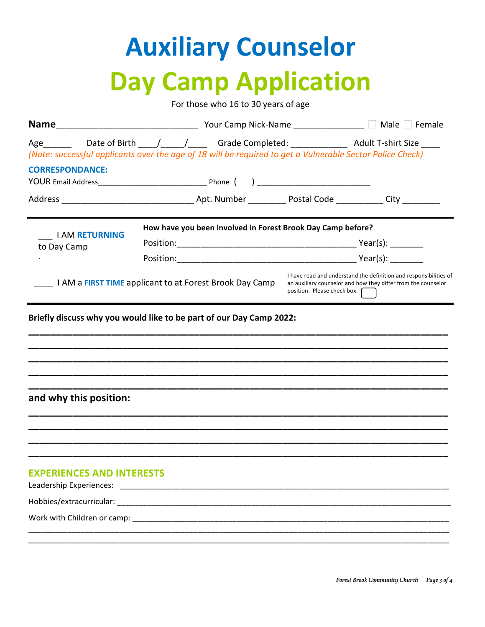# **Auxiliary Counselor Day Camp Application**

For those who 16 to 30 years of age

| Age________  Date of Birth _____/______/ ______ Grade Completed: ________________ Adult T-shirt Size _____<br>(Note: successful applicants over the age of 18 will be required to get a Vulnerable Sector Police Check) |                                                             |  |                             |                                                                                                                                    |  |
|-------------------------------------------------------------------------------------------------------------------------------------------------------------------------------------------------------------------------|-------------------------------------------------------------|--|-----------------------------|------------------------------------------------------------------------------------------------------------------------------------|--|
| <b>CORRESPONDANCE:</b>                                                                                                                                                                                                  |                                                             |  |                             |                                                                                                                                    |  |
|                                                                                                                                                                                                                         |                                                             |  |                             |                                                                                                                                    |  |
| <b>I AM RETURNING</b>                                                                                                                                                                                                   | How have you been involved in Forest Brook Day Camp before? |  |                             |                                                                                                                                    |  |
| to Day Camp                                                                                                                                                                                                             |                                                             |  |                             |                                                                                                                                    |  |
|                                                                                                                                                                                                                         |                                                             |  |                             |                                                                                                                                    |  |
|                                                                                                                                                                                                                         | I AM a FIRST TIME applicant to at Forest Brook Day Camp     |  | position. Please check box. | I have read and understand the definition and responsibilities of<br>an auxiliary counselor and how they differ from the counselor |  |
| Briefly discuss why you would like to be part of our Day Camp 2022:                                                                                                                                                     |                                                             |  |                             |                                                                                                                                    |  |
| and why this position:                                                                                                                                                                                                  |                                                             |  |                             |                                                                                                                                    |  |
| <b>EXPERIENCES AND INTERESTS</b>                                                                                                                                                                                        |                                                             |  |                             |                                                                                                                                    |  |
|                                                                                                                                                                                                                         |                                                             |  |                             |                                                                                                                                    |  |
|                                                                                                                                                                                                                         |                                                             |  |                             |                                                                                                                                    |  |
|                                                                                                                                                                                                                         |                                                             |  |                             |                                                                                                                                    |  |